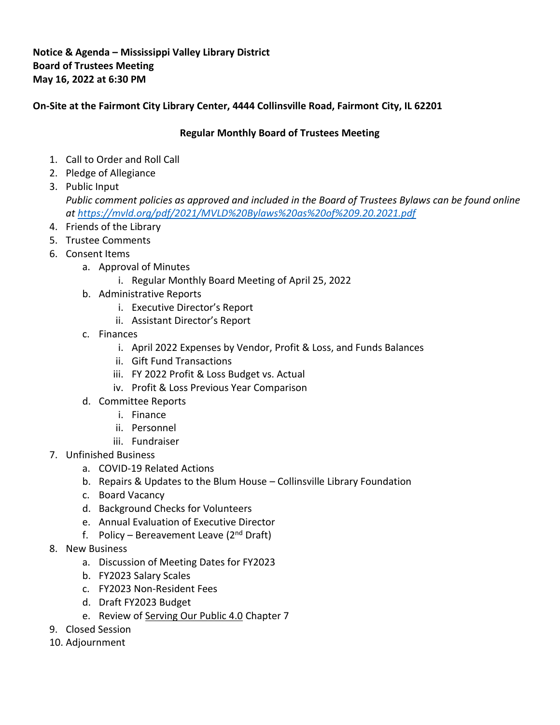## **Notice & Agenda – Mississippi Valley Library District Board of Trustees Meeting May 16, 2022 at 6:30 PM**

## **On-Site at the Fairmont City Library Center, 4444 Collinsville Road, Fairmont City, IL 62201**

## **Regular Monthly Board of Trustees Meeting**

- 1. Call to Order and Roll Call
- 2. Pledge of Allegiance
- 3. Public Input *Public comment policies as approved and included in the Board of Trustees Bylaws can be found online at<https://mvld.org/pdf/2021/MVLD%20Bylaws%20as%20of%209.20.2021.pdf>*
- 4. Friends of the Library
- 5. Trustee Comments
- 6. Consent Items
	- a. Approval of Minutes
		- i. Regular Monthly Board Meeting of April 25, 2022
	- b. Administrative Reports
		- i. Executive Director's Report
		- ii. Assistant Director's Report
	- c. Finances
		- i. April 2022 Expenses by Vendor, Profit & Loss, and Funds Balances
		- ii. Gift Fund Transactions
		- iii. FY 2022 Profit & Loss Budget vs. Actual
		- iv. Profit & Loss Previous Year Comparison
	- d. Committee Reports
		- i. Finance
		- ii. Personnel
		- iii. Fundraiser
- 7. Unfinished Business
	- a. COVID-19 Related Actions
	- b. Repairs & Updates to the Blum House Collinsville Library Foundation
	- c. Board Vacancy
	- d. Background Checks for Volunteers
	- e. Annual Evaluation of Executive Director
	- f. Policy Bereavement Leave ( $2<sup>nd</sup>$  Draft)
- 8. New Business
	- a. Discussion of Meeting Dates for FY2023
	- b. FY2023 Salary Scales
	- c. FY2023 Non-Resident Fees
	- d. Draft FY2023 Budget
	- e. Review of Serving Our Public 4.0 Chapter 7
- 9. Closed Session
- 10. Adjournment